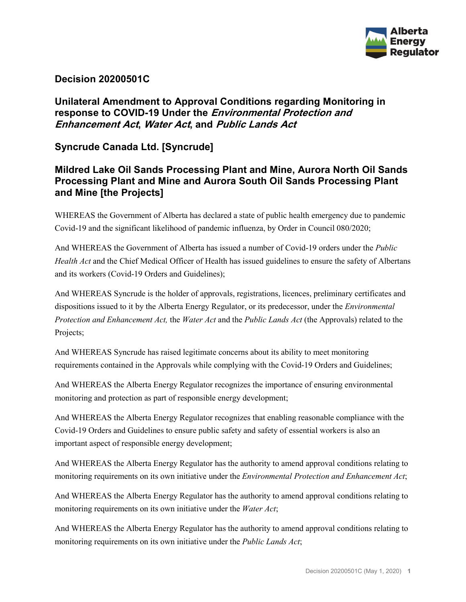

### **Decision 20200501C**

# **Unilateral Amendment to Approval Conditions regarding Monitoring in response to COVID-19 Under the Environmental Protection and Enhancement Act, Water Act, and Public Lands Act**

**Syncrude Canada Ltd. [Syncrude]** 

# **Mildred Lake Oil Sands Processing Plant and Mine, Aurora North Oil Sands Processing Plant and Mine and Aurora South Oil Sands Processing Plant and Mine [the Projects]**

WHEREAS the Government of Alberta has declared a state of public health emergency due to pandemic Covid-19 and the significant likelihood of pandemic influenza, by Order in Council 080/2020;

And WHEREAS the Government of Alberta has issued a number of Covid-19 orders under the *Public Health Act* and the Chief Medical Officer of Health has issued guidelines to ensure the safety of Albertans and its workers (Covid-19 Orders and Guidelines);

And WHEREAS Syncrude is the holder of approvals, registrations, licences, preliminary certificates and dispositions issued to it by the Alberta Energy Regulator, or its predecessor, under the *Environmental Protection and Enhancement Act,* the *Water Act* and the *Public Lands Act* (the Approvals) related to the Projects;

And WHEREAS Syncrude has raised legitimate concerns about its ability to meet monitoring requirements contained in the Approvals while complying with the Covid-19 Orders and Guidelines;

And WHEREAS the Alberta Energy Regulator recognizes the importance of ensuring environmental monitoring and protection as part of responsible energy development;

And WHEREAS the Alberta Energy Regulator recognizes that enabling reasonable compliance with the Covid-19 Orders and Guidelines to ensure public safety and safety of essential workers is also an important aspect of responsible energy development;

And WHEREAS the Alberta Energy Regulator has the authority to amend approval conditions relating to monitoring requirements on its own initiative under the *Environmental Protection and Enhancement Act*;

And WHEREAS the Alberta Energy Regulator has the authority to amend approval conditions relating to monitoring requirements on its own initiative under the *Water Act*;

And WHEREAS the Alberta Energy Regulator has the authority to amend approval conditions relating to monitoring requirements on its own initiative under the *Public Lands Act*;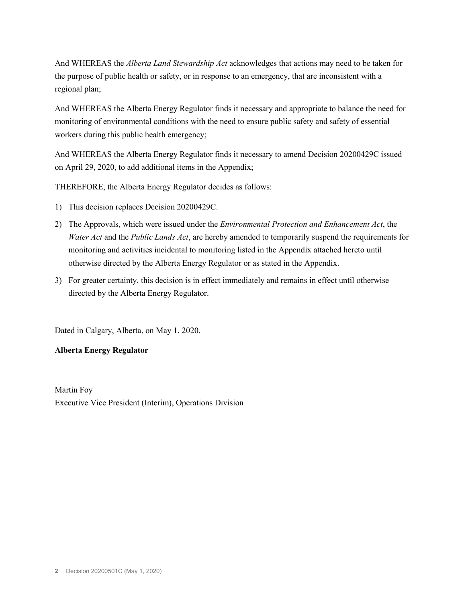And WHEREAS the *Alberta Land Stewardship Act* acknowledges that actions may need to be taken for the purpose of public health or safety, or in response to an emergency, that are inconsistent with a regional plan;

And WHEREAS the Alberta Energy Regulator finds it necessary and appropriate to balance the need for monitoring of environmental conditions with the need to ensure public safety and safety of essential workers during this public health emergency;

And WHEREAS the Alberta Energy Regulator finds it necessary to amend Decision 20200429C issued on April 29, 2020, to add additional items in the Appendix;

THEREFORE, the Alberta Energy Regulator decides as follows:

- 1) This decision replaces Decision 20200429C.
- 2) The Approvals, which were issued under the *Environmental Protection and Enhancement Act*, the *Water Act* and the *Public Lands Act*, are hereby amended to temporarily suspend the requirements for monitoring and activities incidental to monitoring listed in the Appendix attached hereto until otherwise directed by the Alberta Energy Regulator or as stated in the Appendix.
- 3) For greater certainty, this decision is in effect immediately and remains in effect until otherwise directed by the Alberta Energy Regulator.

Dated in Calgary, Alberta, on May 1, 2020.

#### **Alberta Energy Regulator**

Martin Foy Executive Vice President (Interim), Operations Division